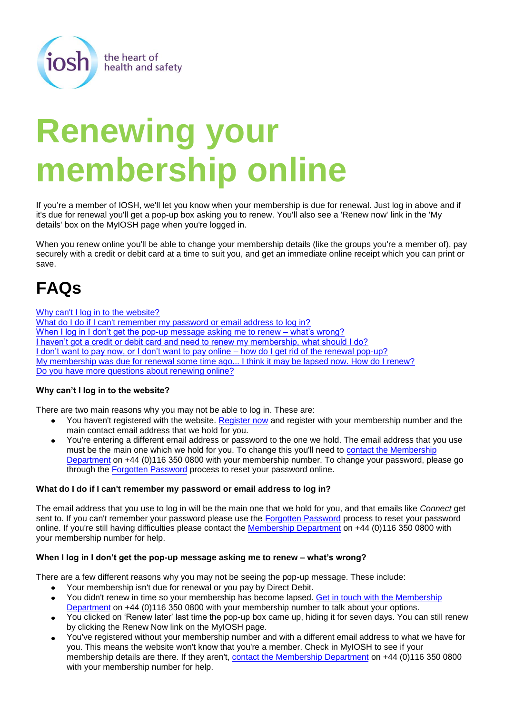

# **Renewing your membership online**

If you're a member of IOSH, we'll let you know when your membership is due for renewal. Just log in above and if it's due for renewal you'll get a pop-up box asking you to renew. You'll also see a 'Renew now' link in the 'My details' box on the MyIOSH page when you're logged in.

When you renew online you'll be able to change your membership details (like the groups you're a member of), pay securely with a credit or debit card at a time to suit you, and get an immediate online receipt which you can print or save.

## **FAQs**

[Why can't I log in to the website?](#page-0-0) [What do I do if I can't remember my password or email address to log in?](#page-0-1) [When I log in I don't get the pop-up message asking me to renew –](#page-0-2) what's wrong? [I haven't got a credit or debit card and need to renew my membership, what should I do?](#page-1-0) [I don't want to pay now, or I don't want to pay online – how do I get rid of the renewal pop-up?](#page-1-1) [My membership was due for renewal some time ago... I think it may be lapsed now. How do I renew?](#page-1-2) [Do you have more questions about renewing online?](#page-1-3)

### <span id="page-0-0"></span>**Why can't I log in to the website?**

There are two main reasons why you may not be able to log in. These are:

- You haven't registered with the website. [Register now](http://www.iosh.co.uk/membership/about_membership/become_a_member/join_us.aspx) and register with your membership number and the  $\bullet$ main contact email address that we hold for you.
- You're entering a different email address or password to the one we hold. The email address that you use must be the main one which we hold for you. To change this you'll need to [contact the Membership](mailto:membership@iosh.co.uk)  [Department](mailto:membership@iosh.co.uk) on +44 (0)116 350 0800 with your membership number. To change your password, please go through the [Forgotten Password](http://www.iosh.co.uk/myiosh/register/forgotten_password.aspx) process to reset your password online.

### <span id="page-0-1"></span>**What do I do if I can't remember my password or email address to log in?**

The email address that you use to log in will be the main one that we hold for you, and that emails like *Connect* get sent to. If you can't remember your password please use the [Forgotten Password](http://www.iosh.co.uk/myiosh/register/forgotten_password.aspx) process to reset your password online. If you're still having difficulties please contact the [Membership Department](mailto:membership@iosh.co.uk) on +44 (0)116 350 0800 with your membership number for help.

### <span id="page-0-2"></span>**When I log in I don't get the pop-up message asking me to renew – what's wrong?**

There are a few different reasons why you may not be seeing the pop-up message. These include:

- Your membership isn't due for renewal or you pay by Direct Debit.  $\bullet$
- You didn't renew in time so your membership has become lapsed. [Get in touch with the Membership](mailto:membership@iosh.co.uk) [Department](mailto:membership@iosh.co.uk) on +44 (0)116 350 0800 with your membership number to talk about your options.
- You clicked on 'Renew later' last time the pop-up box came up, hiding it for seven days. You can still renew by clicking the Renew Now link on the MyIOSH page.
- You've registered without your membership number and with a different email address to what we have for you. This means the website won't know that you're a member. Check in MyIOSH to see if your membership details are there. If they aren't, [contact the Membership Department](mailto:membership@iosh.co.uk) on +44 (0)116 350 0800 with your membership number for help.